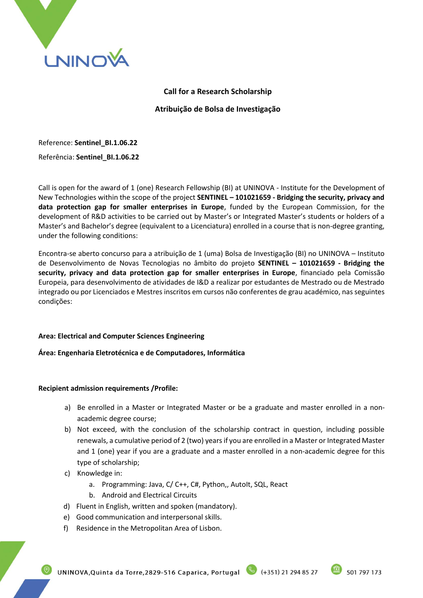

# **Call for a Research Scholarship Atribuição de Bolsa de Investigação**

Reference: **Sentinel\_BI.1.06.22**

# Referência: **Sentinel\_BI.1.06.22**

Call is open for the award of 1 (one) Research Fellowship (BI) at UNINOVA - Institute for the Development of New Technologies within the scope of the project **SENTINEL – 101021659 - Bridging the security, privacy and data protection gap for smaller enterprises in Europe**, funded by the European Commission, for the development of R&D activities to be carried out by Master's or Integrated Master's students or holders of a Master's and Bachelor's degree (equivalent to a Licenciatura) enrolled in a course that is non-degree granting, under the following conditions:

Encontra-se aberto concurso para a atribuição de 1 (uma) Bolsa de Investigação (BI) no UNINOVA – Instituto de Desenvolvimento de Novas Tecnologias no âmbito do projeto **SENTINEL – 101021659 - Bridging the security, privacy and data protection gap for smaller enterprises in Europe**, financiado pela Comissão Europeia, para desenvolvimento de atividades de I&D a realizar por estudantes de Mestrado ou de Mestrado integrado ou por Licenciados e Mestres inscritos em cursos não conferentes de grau académico, nas seguintes condições:

# **Area: Electrical and Computer Sciences Engineering**

# **Área: Engenharia Eletrotécnica e de Computadores, Informática**

# **Recipient admission requirements /Profile:**

- a) Be enrolled in a Master or Integrated Master or be a graduate and master enrolled in a nonacademic degree course;
- b) Not exceed, with the conclusion of the scholarship contract in question, including possible renewals, a cumulative period of 2 (two) years if you are enrolled in a Master or Integrated Master and 1 (one) year if you are a graduate and a master enrolled in a non-academic degree for this type of scholarship;
- c) Knowledge in:
	- a. Programming: Java, C/ C++, C#, Python,, AutoIt, SQL, React
	- b. Android and Electrical Circuits
- d) Fluent in English, written and spoken (mandatory).
- e) Good communication and interpersonal skills.
- f) Residence in the Metropolitan Area of Lisbon.

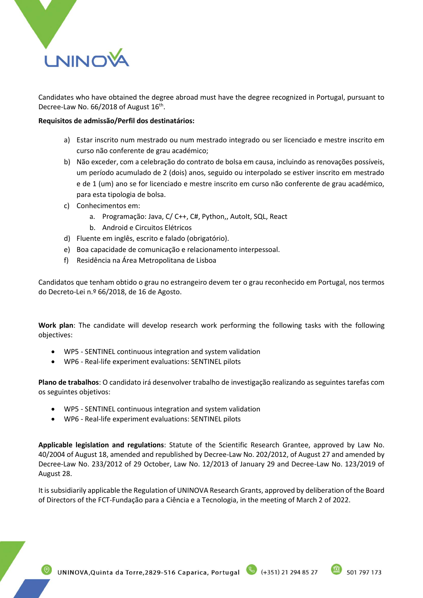

Candidates who have obtained the degree abroad must have the degree recognized in Portugal, pursuant to Decree-Law No. 66/2018 of August 16<sup>th</sup>.

#### **Requisitos de admissão/Perfil dos destinatários:**

- a) Estar inscrito num mestrado ou num mestrado integrado ou ser licenciado e mestre inscrito em curso não conferente de grau académico;
- b) Não exceder, com a celebração do contrato de bolsa em causa, incluindo as renovações possíveis, um período acumulado de 2 (dois) anos, seguido ou interpolado se estiver inscrito em mestrado e de 1 (um) ano se for licenciado e mestre inscrito em curso não conferente de grau académico, para esta tipologia de bolsa.
- c) Conhecimentos em:
	- a. Programação: Java, C/ C++, C#, Python,, AutoIt, SQL, React
	- b. Android e Circuitos Elétricos
- d) Fluente em inglês, escrito e falado (obrigatório).
- e) Boa capacidade de comunicação e relacionamento interpessoal.
- f) Residência na Área Metropolitana de Lisboa

Candidatos que tenham obtido o grau no estrangeiro devem ter o grau reconhecido em Portugal, nos termos do Decreto-Lei n.º 66/2018, de 16 de Agosto.

**Work plan**: The candidate will develop research work performing the following tasks with the following objectives:

- WP5 SENTINEL continuous integration and system validation
- WP6 Real-life experiment evaluations: SENTINEL pilots

**Plano de trabalhos**: O candidato irá desenvolver trabalho de investigação realizando as seguintes tarefas com os seguintes objetivos:

- WP5 SENTINEL continuous integration and system validation
- WP6 Real-life experiment evaluations: SENTINEL pilots

**Applicable legislation and regulations**: Statute of the Scientific Research Grantee, approved by Law No. 40/2004 of August 18, amended and republished by Decree-Law No. 202/2012, of August 27 and amended by Decree-Law No. 233/2012 of 29 October, Law No. 12/2013 of January 29 and Decree-Law No. 123/2019 of August 28.

It is subsidiarily applicable the Regulation of UNINOVA Research Grants, approved by deliberation of the Board of Directors of the FCT-Fundação para a Ciência e a Tecnologia, in the meeting of March 2 of 2022.

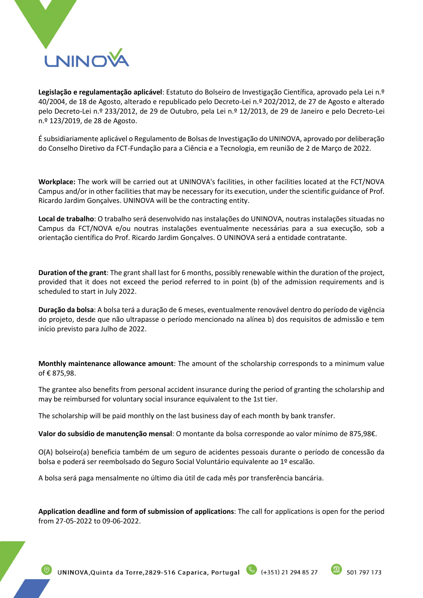

**Legislação e regulamentação aplicável**: Estatuto do Bolseiro de Investigação Científica, aprovado pela Lei n.º 40/2004, de 18 de Agosto, alterado e republicado pelo Decreto-Lei n.º 202/2012, de 27 de Agosto e alterado pelo Decreto-Lei n.º 233/2012, de 29 de Outubro, pela Lei n.º 12/2013, de 29 de Janeiro e pelo Decreto-Lei n.º 123/2019, de 28 de Agosto.

É subsidiariamente aplicável o Regulamento de Bolsas de Investigação do UNINOVA, aprovado por deliberação do Conselho Diretivo da FCT-Fundação para a Ciência e a Tecnologia, em reunião de 2 de Março de 2022.

**Workplace:** The work will be carried out at UNINOVA's facilities, in other facilities located at the FCT/NOVA Campus and/or in other facilities that may be necessary for its execution, under the scientific guidance of Prof. Ricardo Jardim Gonçalves. UNINOVA will be the contracting entity.

**Local de trabalho**: O trabalho será desenvolvido nas instalações do UNINOVA, noutras instalações situadas no Campus da FCT/NOVA e/ou noutras instalações eventualmente necessárias para a sua execução, sob a orientação científica do Prof. Ricardo Jardim Gonçalves. O UNINOVA será a entidade contratante.

**Duration of the grant**: The grant shall last for 6 months, possibly renewable within the duration of the project, provided that it does not exceed the period referred to in point (b) of the admission requirements and is scheduled to start in July 2022.

**Duração da bolsa**: A bolsa terá a duração de 6 meses, eventualmente renovável dentro do período de vigência do projeto, desde que não ultrapasse o período mencionado na alínea b) dos requisitos de admissão e tem início previsto para Julho de 2022.

**Monthly maintenance allowance amount**: The amount of the scholarship corresponds to a minimum value of € 875,98.

The grantee also benefits from personal accident insurance during the period of granting the scholarship and may be reimbursed for voluntary social insurance equivalent to the 1st tier.

The scholarship will be paid monthly on the last business day of each month by bank transfer.

**Valor do subsídio de manutenção mensal**: O montante da bolsa corresponde ao valor mínimo de 875,98€.

O(A) bolseiro(a) beneficia também de um seguro de acidentes pessoais durante o período de concessão da bolsa e poderá ser reembolsado do Seguro Social Voluntário equivalente ao 1º escalão.

A bolsa será paga mensalmente no último dia útil de cada mês por transferência bancária.

**Application deadline and form of submission of applications**: The call for applications is open for the period from 27-05-2022 to 09-06-2022.

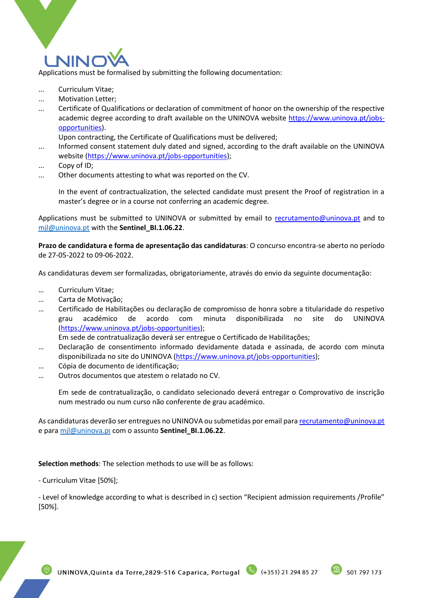

Applications must be formalised by submitting the following documentation:

- ... Curriculum Vitae;
- ... Motivation Letter;
- ... Certificate of Qualifications or declaration of commitment of honor on the ownership of the respective academic degree according to draft available on the UNINOVA website [https://www.uninova.pt/jobs](https://www.uninova.pt/jobs-opportunities)[opportunities\)](https://www.uninova.pt/jobs-opportunities).

Upon contracting, the Certificate of Qualifications must be delivered;

- ... Informed consent statement duly dated and signed, according to the draft available on the UNINOVA website [\(https://www.uninova.pt/jobs-opportunities\)](https://www.uninova.pt/jobs-opportunities);
- ... Copy of ID;
- ... Other documents attesting to what was reported on the CV.

In the event of contractualization, the selected candidate must present the Proof of registration in a master's degree or in a course not conferring an academic degree.

Applications must be submitted to UNINOVA or submitted by email to [recrutamento@uninova.pt](mailto:recrutamento@uninova.pt) and to [mjl@uninova.pt](mailto:mjl@uninova.pt) with the **Sentinel\_BI.1.06.22**.

**Prazo de candidatura e forma de apresentação das candidaturas**: O concurso encontra-se aberto no período de 27-05-2022 to 09-06-2022.

As candidaturas devem ser formalizadas, obrigatoriamente, através do envio da seguinte documentação:

- … Curriculum Vitae;
- … Carta de Motivação;
- … Certificado de Habilitações ou declaração de compromisso de honra sobre a titularidade do respetivo grau académico de acordo com minuta disponibilizada no site do UNINOVA [\(https://www.uninova.pt/jobs-opportunities\)](https://www.uninova.pt/jobs-opportunities);

Em sede de contratualização deverá ser entregue o Certificado de Habilitações;

- … Declaração de consentimento informado devidamente datada e assinada, de acordo com minuta disponibilizada no site do UNINOVA [\(https://www.uninova.pt/jobs-opportunities\)](https://www.uninova.pt/jobs-opportunities);
- … Cópia de documento de identificação;
- … Outros documentos que atestem o relatado no CV.

Em sede de contratualização, o candidato selecionado deverá entregar o Comprovativo de inscrição num mestrado ou num curso não conferente de grau académico.

As candidaturas deverão ser entregues no UNINOVA ou submetidas por email para [recrutamento@uninova.pt](mailto:recrutamento@uninova.pt) e par[a mjl@uninova.p](mailto:mjl@uninova.pt)[t](mailto:mjl@uninova.pt) com o assunto **Sentinel\_BI.1.06.22**.

**Selection methods**: The selection methods to use will be as follows:

- Curriculum Vitae [50%];

- Level of knowledge according to what is described in c) section "Recipient admission requirements /Profile" [50%].

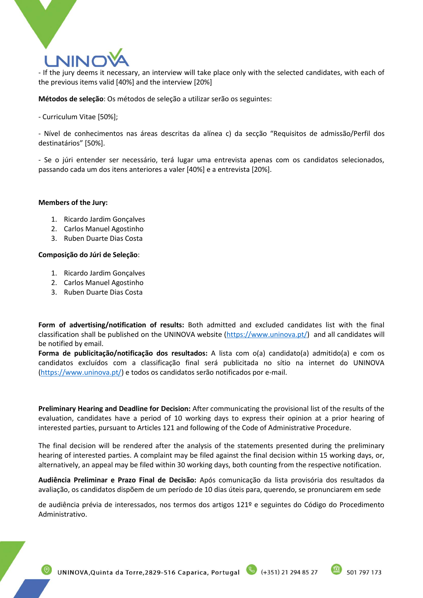# **NINO**

- If the jury deems it necessary, an interview will take place only with the selected candidates, with each of the previous items valid [40%] and the interview [20%]

#### **Métodos de seleção**: Os métodos de seleção a utilizar serão os seguintes:

- Curriculum Vitae [50%];

- Nível de conhecimentos nas áreas descritas da alínea c) da secção "Requisitos de admissão/Perfil dos destinatários" [50%].

- Se o júri entender ser necessário, terá lugar uma entrevista apenas com os candidatos selecionados, passando cada um dos itens anteriores a valer [40%] e a entrevista [20%].

#### **Members of the Jury:**

- 1. Ricardo Jardim Gonçalves
- 2. Carlos Manuel Agostinho
- 3. Ruben Duarte Dias Costa

#### **Composição do Júri de Seleção**:

- 1. Ricardo Jardim Gonçalves
- 2. Carlos Manuel Agostinho
- 3. Ruben Duarte Dias Costa

**Form of advertising/notification of results:** Both admitted and excluded candidates list with the final classification shall be published on the UNINOVA website  $(\frac{https://www.uninova.pdf}{https://www.uninova.pdf})$  and all candidates will be notified by email.

**Forma de publicitação/notificação dos resultados:** A lista com o(a) candidato(a) admitido(a) e com os candidatos excluídos com a classificação final será publicitada no sítio na internet do UNINOVA [\(https://www.uninova.pt/\)](https://www.uninova.pt/) e todos os candidatos serão notificados por e-mail.

**Preliminary Hearing and Deadline for Decision:** After communicating the provisional list of the results of the evaluation, candidates have a period of 10 working days to express their opinion at a prior hearing of interested parties, pursuant to Articles 121 and following of the Code of Administrative Procedure.

The final decision will be rendered after the analysis of the statements presented during the preliminary hearing of interested parties. A complaint may be filed against the final decision within 15 working days, or, alternatively, an appeal may be filed within 30 working days, both counting from the respective notification.

**Audiência Preliminar e Prazo Final de Decisão:** Após comunicação da lista provisória dos resultados da avaliação, os candidatos dispõem de um período de 10 dias úteis para, querendo, se pronunciarem em sede

de audiência prévia de interessados, nos termos dos artigos 121º e seguintes do Código do Procedimento Administrativo.